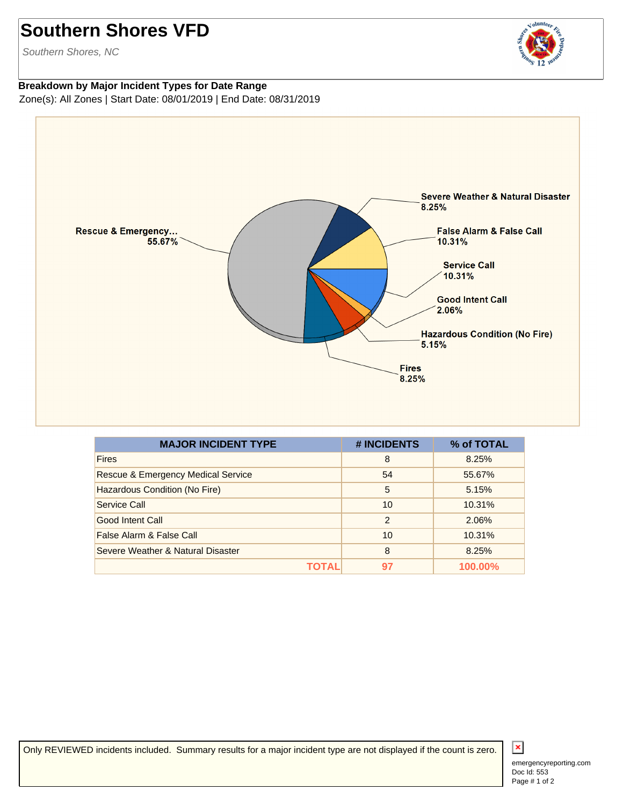## **Southern Shores VFD**

Southern Shores, NC

## volunteer

## **Breakdown by Major Incident Types for Date Range** Zone(s): All Zones | Start Date: 08/01/2019 | End Date: 08/31/2019



| <b>MAJOR INCIDENT TYPE</b>                    | # INCIDENTS    | % of TOTAL |
|-----------------------------------------------|----------------|------------|
| <b>Fires</b>                                  | 8              | 8.25%      |
| <b>Rescue &amp; Emergency Medical Service</b> | 54             | 55.67%     |
| Hazardous Condition (No Fire)                 | 5              | 5.15%      |
| Service Call                                  | 10             | 10.31%     |
| Good Intent Call                              | $\overline{2}$ | 2.06%      |
| False Alarm & False Call                      | 10             | 10.31%     |
| Severe Weather & Natural Disaster             | 8              | 8.25%      |
| ΤΩΤΑΙ                                         | 97             | 100.00%    |

Only REVIEWED incidents included. Summary results for a major incident type are not displayed if the count is zero.